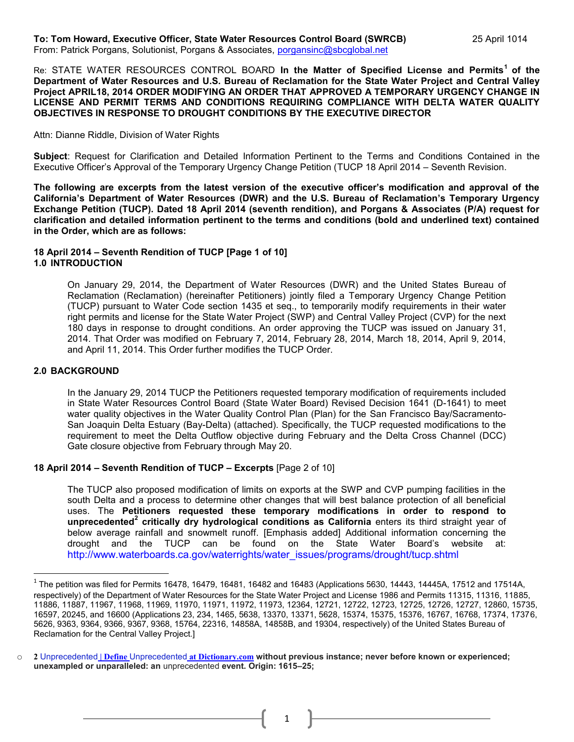#### **To: Tom Howard, Executive Officer, State Water Resources Control Board (SWRCB)** 25 April 1014 From: Patrick Porgans, Solutionist, Porgans & Associates, [porgansinc@sbcglobal.net](mailto:porgansinc@sbcglobal.net)

Re: STATE WATER RESOURCES CONTROL BOARD **In the Matter of Specified License and Permits<sup>1</sup> of the Department of Water Resources and U.S. Bureau of Reclamation for the State Water Project and Central Valley Project APRIL18, 2014 ORDER MODIFYING AN ORDER THAT APPROVED A TEMPORARY URGENCY CHANGE IN LICENSE AND PERMIT TERMS AND CONDITIONS REQUIRING COMPLIANCE WITH DELTA WATER QUALITY OBJECTIVES IN RESPONSE TO DROUGHT CONDITIONS BY THE EXECUTIVE DIRECTOR**

#### Attn: Dianne Riddle, Division of Water Rights

**Subject**: Request for Clarification and Detailed Information Pertinent to the Terms and Conditions Contained in the Executive Officer's Approval of the Temporary Urgency Change Petition (TUCP 18 April 2014 – Seventh Revision.

**The following are excerpts from the latest version of the executive officer's modification and approval of the California's Department of Water Resources (DWR) and the U.S. Bureau of Reclamation's Temporary Urgency Exchange Petition (TUCP). Dated 18 April 2014 (seventh rendition), and Porgans & Associates (P/A) request for clarification and detailed information pertinent to the terms and conditions (bold and underlined text) contained in the Order, which are as follows:**

#### **18 April 2014 – Seventh Rendition of TUCP [Page 1 of 10] 1.0 INTRODUCTION**

On January 29, 2014, the Department of Water Resources (DWR) and the United States Bureau of Reclamation (Reclamation) (hereinafter Petitioners) jointly filed a Temporary Urgency Change Petition (TUCP) pursuant to Water Code section 1435 et seq., to temporarily modify requirements in their water right permits and license for the State Water Project (SWP) and Central Valley Project (CVP) for the next 180 days in response to drought conditions. An order approving the TUCP was issued on January 31, 2014. That Order was modified on February 7, 2014, February 28, 2014, March 18, 2014, April 9, 2014, and April 11, 2014. This Order further modifies the TUCP Order.

### **2.0 BACKGROUND**

l

In the January 29, 2014 TUCP the Petitioners requested temporary modification of requirements included in State Water Resources Control Board (State Water Board) Revised Decision 1641 (D-1641) to meet water quality objectives in the Water Quality Control Plan (Plan) for the San Francisco Bay/Sacramento-San Joaquin Delta Estuary (Bay-Delta) (attached). Specifically, the TUCP requested modifications to the requirement to meet the Delta Outflow objective during February and the Delta Cross Channel (DCC) Gate closure objective from February through May 20.

#### **18 April 2014 – Seventh Rendition of TUCP – Excerpts** [Page 2 of 10]

The TUCP also proposed modification of limits on exports at the SWP and CVP pumping facilities in the south Delta and a process to determine other changes that will best balance protection of all beneficial uses. The **Petitioners requested these temporary modifications in order to respond to unprecedented<sup>2</sup> critically dry hydrological conditions as California** enters its third straight year of below average rainfall and snowmelt runoff. [Emphasis added] Additional information concerning the drought and the TUCP can be found on the State Water Board's website at: http://www.waterboards.ca.gov/waterrights/water\_issues/programs/drought/tucp.shtml

1

 $^1$  The petition was filed for Permits 16478, 16479, 16481, 16482 and 16483 (Applications 5630, 14443, 14445A, 17512 and 17514A, respectively) of the Department of Water Resources for the State Water Project and License 1986 and Permits 11315, 11316, 11885, 11886, 11887, 11967, 11968, 11969, 11970, 11971, 11972, 11973, 12364, 12721, 12722, 12723, 12725, 12726, 12727, 12860, 15735, 16597, 20245, and 16600 (Applications 23, 234, 1465, 5638, 13370, 13371, 5628, 15374, 15375, 15376, 16767, 16768, 17374, 17376, 5626, 9363, 9364, 9366, 9367, 9368, 15764, 22316, 14858A, 14858B, and 19304, respectively) of the United States Bureau of Reclamation for the Central Valley Project.]

o **2** Unprecedented **| Define** Unprecedented **[at Dictionary.com](http://www.google.com/url?sa=t&rct=j&q=&esrc=s&frm=1&source=web&cd=2&cad=rja&uact=8&sqi=2&ved=0CD8QFjAB&url=http%3A%2F%2Fdictionary.reference.com%2Fbrowse%2Funprecedented&ei=kbBaU4-bCM6xyASZp4LQDQ&usg=AFQjCNH6gvyEcTAz1IeDJTpAle3Eu2_PRw&sig2=K26YCozyB8IZu-ZNDD__Sw&bvm=bv.65177938,bs.1,d.aWw) without previous instance; never before known or experienced; unexampled or unparalleled: an** unprecedented **event. Origin: 1615–25;**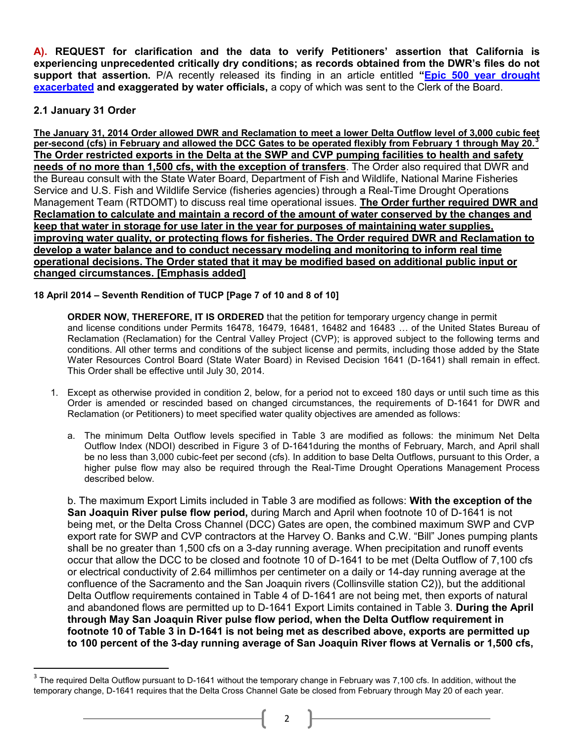**A). REQUEST for clarification and the data to verify Petitioners' assertion that California is experiencing unprecedented critically dry conditions; as records obtained from the DWR's files do not support that assertion.** P/A recently released its finding in an article entitled **"[Epic 500 year drought](http://www.californiaprogressreport.com/site/epic-500-year-drought-exacerbated-and-exaggerated-water-officials)  [exacerbated](http://www.californiaprogressreport.com/site/epic-500-year-drought-exacerbated-and-exaggerated-water-officials) and exaggerated by water officials,** a copy of which was sent to the Clerk of the Board.

# **2.1 January 31 Order**

 $\overline{a}$ 

**The January 31, 2014 Order allowed DWR and Reclamation to meet a lower Delta Outflow level of 3,000 cubic feet per-second (cfs) in February and allowed the DCC Gates to be operated flexibly from February 1 through May 20.<sup>3</sup> The Order restricted exports in the Delta at the SWP and CVP pumping facilities to health and safety needs of no more than 1,500 cfs, with the exception of transfers**. The Order also required that DWR and the Bureau consult with the State Water Board, Department of Fish and Wildlife, National Marine Fisheries Service and U.S. Fish and Wildlife Service (fisheries agencies) through a Real-Time Drought Operations Management Team (RTDOMT) to discuss real time operational issues. **The Order further required DWR and Reclamation to calculate and maintain a record of the amount of water conserved by the changes and keep that water in storage for use later in the year for purposes of maintaining water supplies, improving water quality, or protecting flows for fisheries. The Order required DWR and Reclamation to develop a water balance and to conduct necessary modeling and monitoring to inform real time operational decisions. The Order stated that it may be modified based on additional public input or changed circumstances. [Emphasis added]**

## **18 April 2014 – Seventh Rendition of TUCP [Page 7 of 10 and 8 of 10]**

**ORDER NOW, THEREFORE, IT IS ORDERED** that the petition for temporary urgency change in permit and license conditions under Permits 16478, 16479, 16481, 16482 and 16483 … of the United States Bureau of Reclamation (Reclamation) for the Central Valley Project (CVP); is approved subject to the following terms and conditions. All other terms and conditions of the subject license and permits, including those added by the State Water Resources Control Board (State Water Board) in Revised Decision 1641 (D-1641) shall remain in effect. This Order shall be effective until July 30, 2014.

- 1. Except as otherwise provided in condition 2, below, for a period not to exceed 180 days or until such time as this Order is amended or rescinded based on changed circumstances, the requirements of D-1641 for DWR and Reclamation (or Petitioners) to meet specified water quality objectives are amended as follows:
	- a. The minimum Delta Outflow levels specified in Table 3 are modified as follows: the minimum Net Delta Outflow Index (NDOI) described in Figure 3 of D-1641during the months of February, March, and April shall be no less than 3,000 cubic-feet per second (cfs). In addition to base Delta Outflows, pursuant to this Order, a higher pulse flow may also be required through the Real-Time Drought Operations Management Process described below.

b. The maximum Export Limits included in Table 3 are modified as follows: **With the exception of the San Joaquin River pulse flow period,** during March and April when footnote 10 of D-1641 is not being met, or the Delta Cross Channel (DCC) Gates are open, the combined maximum SWP and CVP export rate for SWP and CVP contractors at the Harvey O. Banks and C.W. "Bill" Jones pumping plants shall be no greater than 1,500 cfs on a 3-day running average. When precipitation and runoff events occur that allow the DCC to be closed and footnote 10 of D-1641 to be met (Delta Outflow of 7,100 cfs or electrical conductivity of 2.64 millimhos per centimeter on a daily or 14-day running average at the confluence of the Sacramento and the San Joaquin rivers (Collinsville station C2)), but the additional Delta Outflow requirements contained in Table 4 of D-1641 are not being met, then exports of natural and abandoned flows are permitted up to D-1641 Export Limits contained in Table 3. **During the April through May San Joaquin River pulse flow period, when the Delta Outflow requirement in footnote 10 of Table 3 in D-1641 is not being met as described above, exports are permitted up to 100 percent of the 3-day running average of San Joaquin River flows at Vernalis or 1,500 cfs,**

 $3$  The required Delta Outflow pursuant to D-1641 without the temporary change in February was 7,100 cfs. In addition, without the temporary change, D-1641 requires that the Delta Cross Channel Gate be closed from February through May 20 of each year.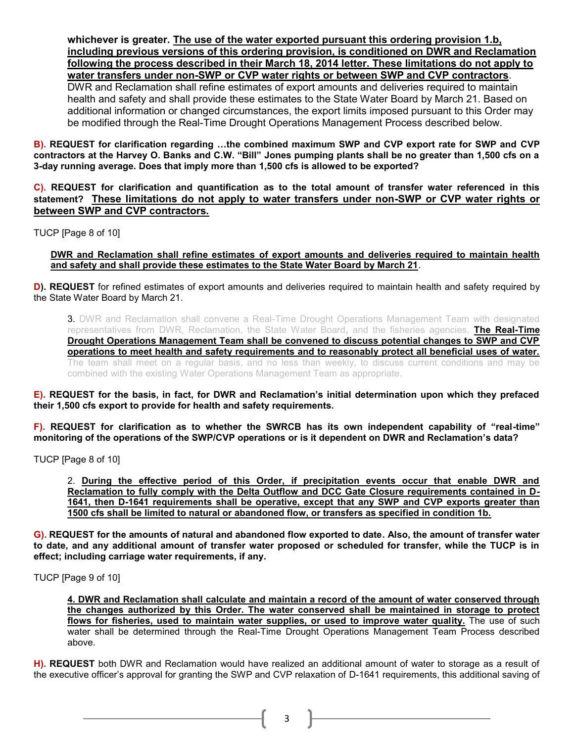**whichever is greater. The use of the water exported pursuant this ordering provision 1.b, including previous versions of this ordering provision, is conditioned on DWR and Reclamation following the process described in their March 18, 2014 letter. These limitations do not apply to water transfers under non-SWP or CVP water rights or between SWP and CVP contractors**. DWR and Reclamation shall refine estimates of export amounts and deliveries required to maintain health and safety and shall provide these estimates to the State Water Board by March 21. Based on additional information or changed circumstances, the export limits imposed pursuant to this Order may be modified through the Real-Time Drought Operations Management Process described below.

**B). REQUEST for clarification regarding …the combined maximum SWP and CVP export rate for SWP and CVP contractors at the Harvey O. Banks and C.W. "Bill" Jones pumping plants shall be no greater than 1,500 cfs on a 3-day running average. Does that imply more than 1,500 cfs is allowed to be exported?**

**C). REQUEST for clarification and quantification as to the total amount of transfer water referenced in this statement? These limitations do not apply to water transfers under non-SWP or CVP water rights or between SWP and CVP contractors.** 

TUCP [Page 8 of 10]

**DWR and Reclamation shall refine estimates of export amounts and deliveries required to maintain health and safety and shall provide these estimates to the State Water Board by March 21**.

**D). REQUEST** for refined estimates of export amounts and deliveries required to maintain health and safety required by the State Water Board by March 21.

**3.** DWR and Reclamation shall convene a Real-Time Drought Operations Management Team with designated representatives from DWR, Reclamation, the State Water Board**,** and the fisheries agencies. **The Real-Time Drought Operations Management Team shall be convened to discuss potential changes to SWP and CVP operations to meet health and safety requirements and to reasonably protect all beneficial uses of water.** The team shall meet on a regular basis, and no less than weekly, to discuss current conditions and may be combined with the existing Water Operations Management Team as appropriate.

**E). REQUEST for the basis, in fact, for DWR and Reclamation's initial determination upon which they prefaced their 1,500 cfs export to provide for health and safety requirements.**

**F). REQUEST for clarification as to whether the SWRCB has its own independent capability of "real-time" monitoring of the operations of the SWP/CVP operations or is it dependent on DWR and Reclamation's data?**

TUCP [Page 8 of 10]

2. **During the effective period of this Order, if precipitation events occur that enable DWR and Reclamation to fully comply with the Delta Outflow and DCC Gate Closure requirements contained in D-1641, then D-1641 requirements shall be operative, except that any SWP and CVP exports greater than 1500 cfs shall be limited to natural or abandoned flow, or transfers as specified in condition 1b.**

**G). REQUEST for the amounts of natural and abandoned flow exported to date. Also, the amount of transfer water to date, and any additional amount of transfer water proposed or scheduled for transfer, while the TUCP is in effect; including carriage water requirements, if any.**

TUCP [Page 9 of 10]

**4. DWR and Reclamation shall calculate and maintain a record of the amount of water conserved through the changes authorized by this Order. The water conserved shall be maintained in storage to protect flows for fisheries, used to maintain water supplies, or used to improve water quality.** The use of such water shall be determined through the Real-Time Drought Operations Management Team Process described above.

**H). REQUEST** both DWR and Reclamation would have realized an additional amount of water to storage as a result of the executive officer's approval for granting the SWP and CVP relaxation of D-1641 requirements, this additional saving of

3